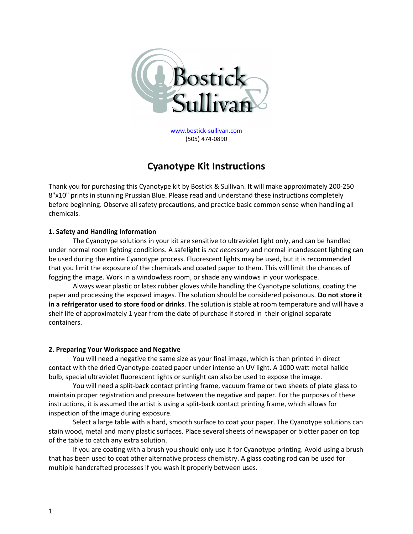

www.bostick-sullivan.com (505) 474-0890

# Cyanotype Kit Instructions

Thank you for purchasing this Cyanotype kit by Bostick & Sullivan. It will make approximately 200-250 8"x10" prints in stunning Prussian Blue. Please read and understand these instructions completely before beginning. Observe all safety precautions, and practice basic common sense when handling all chemicals.

# 1. Safety and Handling Information

The Cyanotype solutions in your kit are sensitive to ultraviolet light only, and can be handled under normal room lighting conditions. A safelight is *not necessary* and normal incandescent lighting can be used during the entire Cyanotype process. Fluorescent lights may be used, but it is recommended that you limit the exposure of the chemicals and coated paper to them. This will limit the chances of fogging the image. Work in a windowless room, or shade any windows in your workspace.

Always wear plastic or latex rubber gloves while handling the Cyanotype solutions, coating the paper and processing the exposed images. The solution should be considered poisonous. Do not store it in a refrigerator used to store food or drinks. The solution is stable at room temperature and will have a shelf life of approximately 1 year from the date of purchase if stored in their original separate containers.

## 2. Preparing Your Workspace and Negative

You will need a negative the same size as your final image, which is then printed in direct contact with the dried Cyanotype-coated paper under intense an UV light. A 1000 watt metal halide bulb, special ultraviolet fluorescent lights or sunlight can also be used to expose the image.

You will need a split-back contact printing frame, vacuum frame or two sheets of plate glass to maintain proper registration and pressure between the negative and paper. For the purposes of these instructions, it is assumed the artist is using a split-back contact printing frame, which allows for inspection of the image during exposure.

Select a large table with a hard, smooth surface to coat your paper. The Cyanotype solutions can stain wood, metal and many plastic surfaces. Place several sheets of newspaper or blotter paper on top of the table to catch any extra solution.

If you are coating with a brush you should only use it for Cyanotype printing. Avoid using a brush that has been used to coat other alternative process chemistry. A glass coating rod can be used for multiple handcrafted processes if you wash it properly between uses.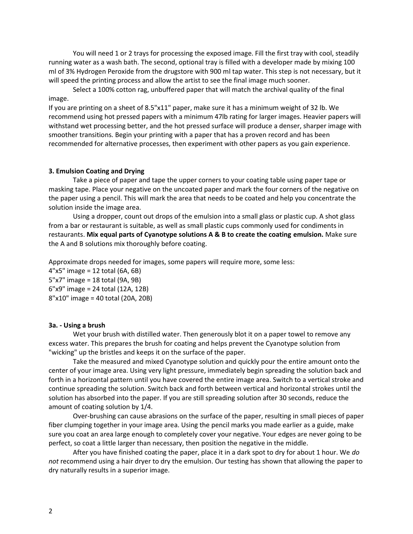You will need 1 or 2 trays for processing the exposed image. Fill the first tray with cool, steadily running water as a wash bath. The second, optional tray is filled with a developer made by mixing 100 ml of 3% Hydrogen Peroxide from the drugstore with 900 ml tap water. This step is not necessary, but it will speed the printing process and allow the artist to see the final image much sooner.

Select a 100% cotton rag, unbuffered paper that will match the archival quality of the final image.

If you are printing on a sheet of 8.5"x11" paper, make sure it has a minimum weight of 32 lb. We recommend using hot pressed papers with a minimum 47lb rating for larger images. Heavier papers will withstand wet processing better, and the hot pressed surface will produce a denser, sharper image with smoother transitions. Begin your printing with a paper that has a proven record and has been recommended for alternative processes, then experiment with other papers as you gain experience.

## 3. Emulsion Coating and Drying

Take a piece of paper and tape the upper corners to your coating table using paper tape or masking tape. Place your negative on the uncoated paper and mark the four corners of the negative on the paper using a pencil. This will mark the area that needs to be coated and help you concentrate the solution inside the image area.

Using a dropper, count out drops of the emulsion into a small glass or plastic cup. A shot glass from a bar or restaurant is suitable, as well as small plastic cups commonly used for condiments in restaurants. Mix equal parts of Cyanotype solutions A & B to create the coating emulsion. Make sure the A and B solutions mix thoroughly before coating.

Approximate drops needed for images, some papers will require more, some less:

4"x5" image = 12 total (6A, 6B) 5"x7" image = 18 total (9A, 9B) 6"x9" image = 24 total (12A, 12B) 8"x10" image = 40 total (20A, 20B)

#### 3a. - Using a brush

Wet your brush with distilled water. Then generously blot it on a paper towel to remove any excess water. This prepares the brush for coating and helps prevent the Cyanotype solution from "wicking" up the bristles and keeps it on the surface of the paper.

Take the measured and mixed Cyanotype solution and quickly pour the entire amount onto the center of your image area. Using very light pressure, immediately begin spreading the solution back and forth in a horizontal pattern until you have covered the entire image area. Switch to a vertical stroke and continue spreading the solution. Switch back and forth between vertical and horizontal strokes until the solution has absorbed into the paper. If you are still spreading solution after 30 seconds, reduce the amount of coating solution by 1/4.

Over-brushing can cause abrasions on the surface of the paper, resulting in small pieces of paper fiber clumping together in your image area. Using the pencil marks you made earlier as a guide, make sure you coat an area large enough to completely cover your negative. Your edges are never going to be perfect, so coat a little larger than necessary, then position the negative in the middle.

After you have finished coating the paper, place it in a dark spot to dry for about 1 hour. We do not recommend using a hair dryer to dry the emulsion. Our testing has shown that allowing the paper to dry naturally results in a superior image.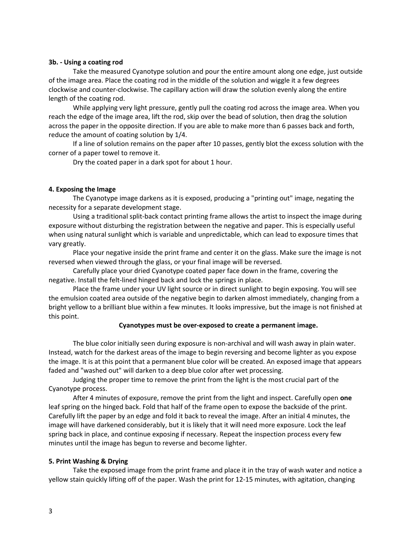### 3b. - Using a coating rod

Take the measured Cyanotype solution and pour the entire amount along one edge, just outside of the image area. Place the coating rod in the middle of the solution and wiggle it a few degrees clockwise and counter-clockwise. The capillary action will draw the solution evenly along the entire length of the coating rod.

While applying very light pressure, gently pull the coating rod across the image area. When you reach the edge of the image area, lift the rod, skip over the bead of solution, then drag the solution across the paper in the opposite direction. If you are able to make more than 6 passes back and forth, reduce the amount of coating solution by 1/4.

If a line of solution remains on the paper after 10 passes, gently blot the excess solution with the corner of a paper towel to remove it.

Dry the coated paper in a dark spot for about 1 hour.

## 4. Exposing the Image

The Cyanotype image darkens as it is exposed, producing a "printing out" image, negating the necessity for a separate development stage.

Using a traditional split-back contact printing frame allows the artist to inspect the image during exposure without disturbing the registration between the negative and paper. This is especially useful when using natural sunlight which is variable and unpredictable, which can lead to exposure times that vary greatly.

Place your negative inside the print frame and center it on the glass. Make sure the image is not reversed when viewed through the glass, or your final image will be reversed.

Carefully place your dried Cyanotype coated paper face down in the frame, covering the negative. Install the felt-lined hinged back and lock the springs in place.

Place the frame under your UV light source or in direct sunlight to begin exposing. You will see the emulsion coated area outside of the negative begin to darken almost immediately, changing from a bright yellow to a brilliant blue within a few minutes. It looks impressive, but the image is not finished at this point.

#### Cyanotypes must be over-exposed to create a permanent image.

The blue color initially seen during exposure is non-archival and will wash away in plain water. Instead, watch for the darkest areas of the image to begin reversing and become lighter as you expose the image. It is at this point that a permanent blue color will be created. An exposed image that appears faded and "washed out" will darken to a deep blue color after wet processing.

Judging the proper time to remove the print from the light is the most crucial part of the Cyanotype process.

After 4 minutes of exposure, remove the print from the light and inspect. Carefully open one leaf spring on the hinged back. Fold that half of the frame open to expose the backside of the print. Carefully lift the paper by an edge and fold it back to reveal the image. After an initial 4 minutes, the image will have darkened considerably, but it is likely that it will need more exposure. Lock the leaf spring back in place, and continue exposing if necessary. Repeat the inspection process every few minutes until the image has begun to reverse and become lighter.

#### 5. Print Washing & Drying

Take the exposed image from the print frame and place it in the tray of wash water and notice a yellow stain quickly lifting off of the paper. Wash the print for 12-15 minutes, with agitation, changing